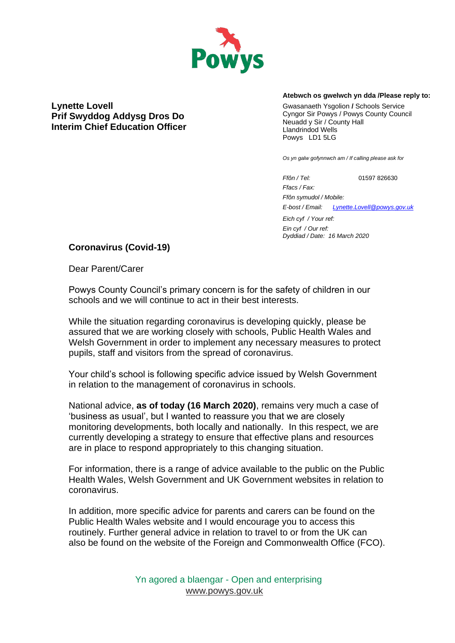

**Lynette Lovell Prif Swyddog Addysg Dros Do Interim Chief Education Officer**

#### **Atebwch os gwelwch yn dda /Please reply to:**

Gwasanaeth Ysgolion **/** Schools Service Cyngor Sir Powys / Powys County Council Neuadd y Sir / County Hall Llandrindod Wells Powys LD1 5LG

*Os yn galw gofynnwch am / If calling please ask for*

*Ffôn / Tel:* 01597 826630 *Ffacs / Fax:* 

*Ffôn symudol / Mobile: E-bost / Email: Lynette.Lovell@powys.gov.uk*

*Eich cyf / Your ref:* 

*Ein cyf / Our ref: Dyddiad / Date: 16 March 2020*

### **Coronavirus (Covid-19)**

Dear Parent/Carer

Powys County Council's primary concern is for the safety of children in our schools and we will continue to act in their best interests.

While the situation regarding coronavirus is developing quickly, please be assured that we are working closely with schools, Public Health Wales and Welsh Government in order to implement any necessary measures to protect pupils, staff and visitors from the spread of coronavirus.

Your child's school is following specific advice issued by Welsh Government in relation to the management of coronavirus in schools.

National advice, **as of today (16 March 2020)**, remains very much a case of 'business as usual', but I wanted to reassure you that we are closely monitoring developments, both locally and nationally. In this respect, we are currently developing a strategy to ensure that effective plans and resources are in place to respond appropriately to this changing situation.

For information, there is a range of advice available to the public on the Public Health Wales, Welsh Government and UK Government websites in relation to coronavirus.

In addition, more specific advice for parents and carers can be found on the Public Health Wales website and I would encourage you to access this routinely. Further general advice in relation to travel to or from the UK can also be found on the website of the Foreign and Commonwealth Office (FCO).

> Yn agored a blaengar - Open and enterprising [www.powys.gov.uk](http://www.powys.gov.uk/)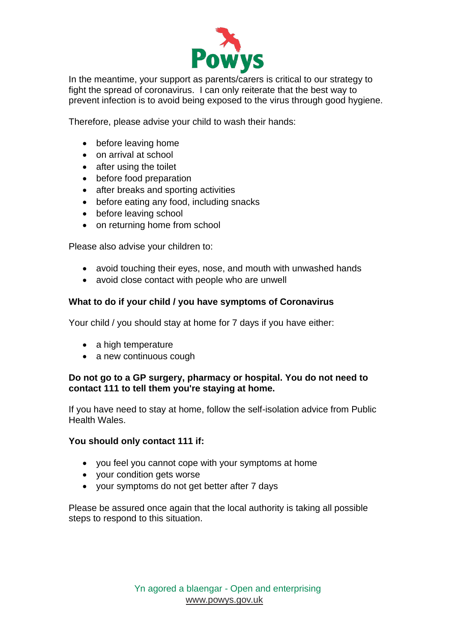

In the meantime, your support as parents/carers is critical to our strategy to fight the spread of coronavirus. I can only reiterate that the best way to prevent infection is to avoid being exposed to the virus through good hygiene.

Therefore, please advise your child to wash their hands:

- before leaving home
- on arrival at school
- after using the toilet
- before food preparation
- after breaks and sporting activities
- before eating any food, including snacks
- before leaving school
- on returning home from school

Please also advise your children to:

- avoid touching their eyes, nose, and mouth with unwashed hands
- avoid close contact with people who are unwell

# **What to do if your child / you have symptoms of Coronavirus**

Your child / you should stay at home for 7 days if you have either:

- a high temperature
- a new continuous cough

# **Do not go to a GP surgery, pharmacy or hospital. You do not need to contact 111 to tell them you're staying at home.**

If you have need to stay at home, follow the self-isolation advice from Public Health Wales.

# **You should only contact 111 if:**

- you feel you cannot cope with your symptoms at home
- your condition gets worse
- your symptoms do not get better after 7 days

Please be assured once again that the local authority is taking all possible steps to respond to this situation.